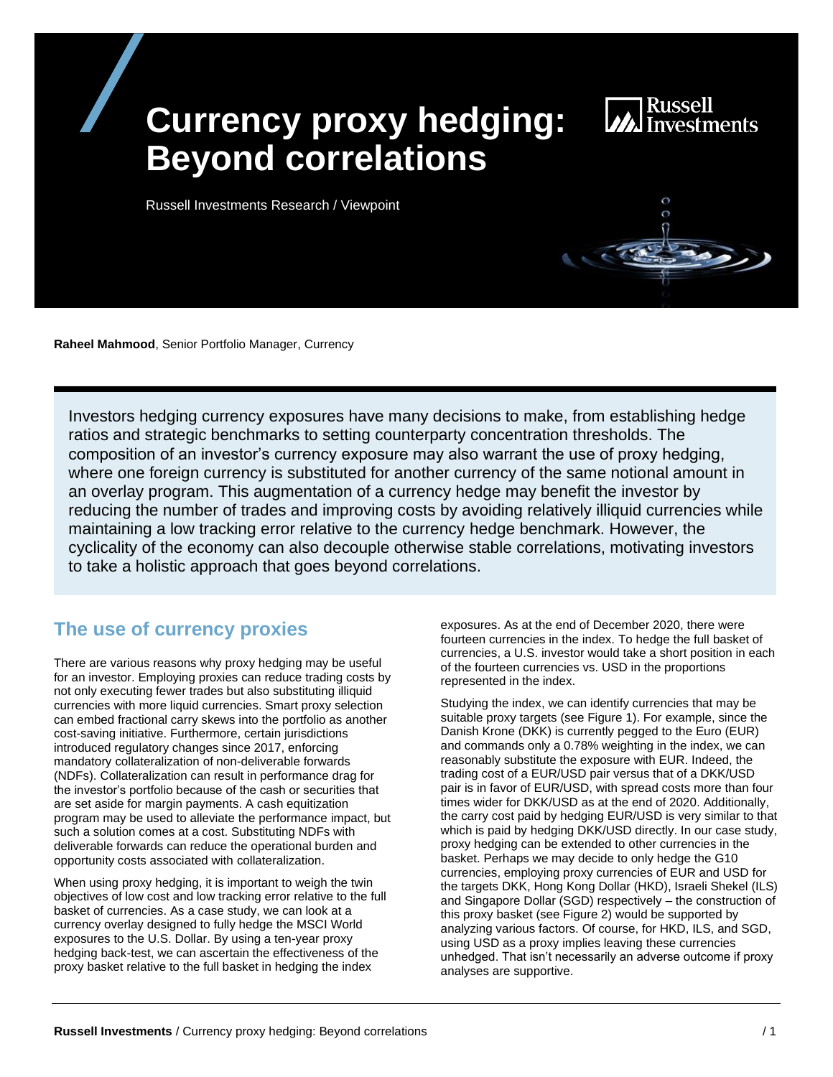# **Currency proxy hedging: Beyond correlations**

**MA**<br>Investments

Russell Investments Research / Viewpoint

**Raheel Mahmood**, Senior Portfolio Manager, Currency

Investors hedging currency exposures have many decisions to make, from establishing hedge ratios and strategic benchmarks to setting counterparty concentration thresholds. The composition of an investor's currency exposure may also warrant the use of proxy hedging, where one foreign currency is substituted for another currency of the same notional amount in an overlay program. This augmentation of a currency hedge may benefit the investor by reducing the number of trades and improving costs by avoiding relatively illiquid currencies while maintaining a low tracking error relative to the currency hedge benchmark. However, the cyclicality of the economy can also decouple otherwise stable correlations, motivating investors to take a holistic approach that goes beyond correlations.

## **The use of currency proxies**

There are various reasons why proxy hedging may be useful for an investor. Employing proxies can reduce trading costs by not only executing fewer trades but also substituting illiquid currencies with more liquid currencies. Smart proxy selection can embed fractional carry skews into the portfolio as another cost-saving initiative. Furthermore, certain jurisdictions introduced regulatory changes since 2017, enforcing mandatory collateralization of non-deliverable forwards (NDFs). Collateralization can result in performance drag for the investor's portfolio because of the cash or securities that are set aside for margin payments. A cash equitization program may be used to alleviate the performance impact, but such a solution comes at a cost. Substituting NDFs with deliverable forwards can reduce the operational burden and opportunity costs associated with collateralization.

When using proxy hedging, it is important to weigh the twin objectives of low cost and low tracking error relative to the full basket of currencies. As a case study, we can look at a currency overlay designed to fully hedge the MSCI World exposures to the U.S. Dollar. By using a ten-year proxy hedging back-test, we can ascertain the effectiveness of the proxy basket relative to the full basket in hedging the index

exposures. As at the end of December 2020, there were fourteen currencies in the index. To hedge the full basket of currencies, a U.S. investor would take a short position in each of the fourteen currencies vs. USD in the proportions represented in the index.

Studying the index, we can identify currencies that may be suitable proxy targets (see Figure 1). For example, since the Danish Krone (DKK) is currently pegged to the Euro (EUR) and commands only a 0.78% weighting in the index, we can reasonably substitute the exposure with EUR. Indeed, the trading cost of a EUR/USD pair versus that of a DKK/USD pair is in favor of EUR/USD, with spread costs more than four times wider for DKK/USD as at the end of 2020. Additionally, the carry cost paid by hedging EUR/USD is very similar to that which is paid by hedging DKK/USD directly. In our case study, proxy hedging can be extended to other currencies in the basket. Perhaps we may decide to only hedge the G10 currencies, employing proxy currencies of EUR and USD for the targets DKK, Hong Kong Dollar (HKD), Israeli Shekel (ILS) and Singapore Dollar (SGD) respectively – the construction of this proxy basket (see Figure 2) would be supported by analyzing various factors. Of course, for HKD, ILS, and SGD, using USD as a proxy implies leaving these currencies unhedged. That isn't necessarily an adverse outcome if proxy analyses are supportive.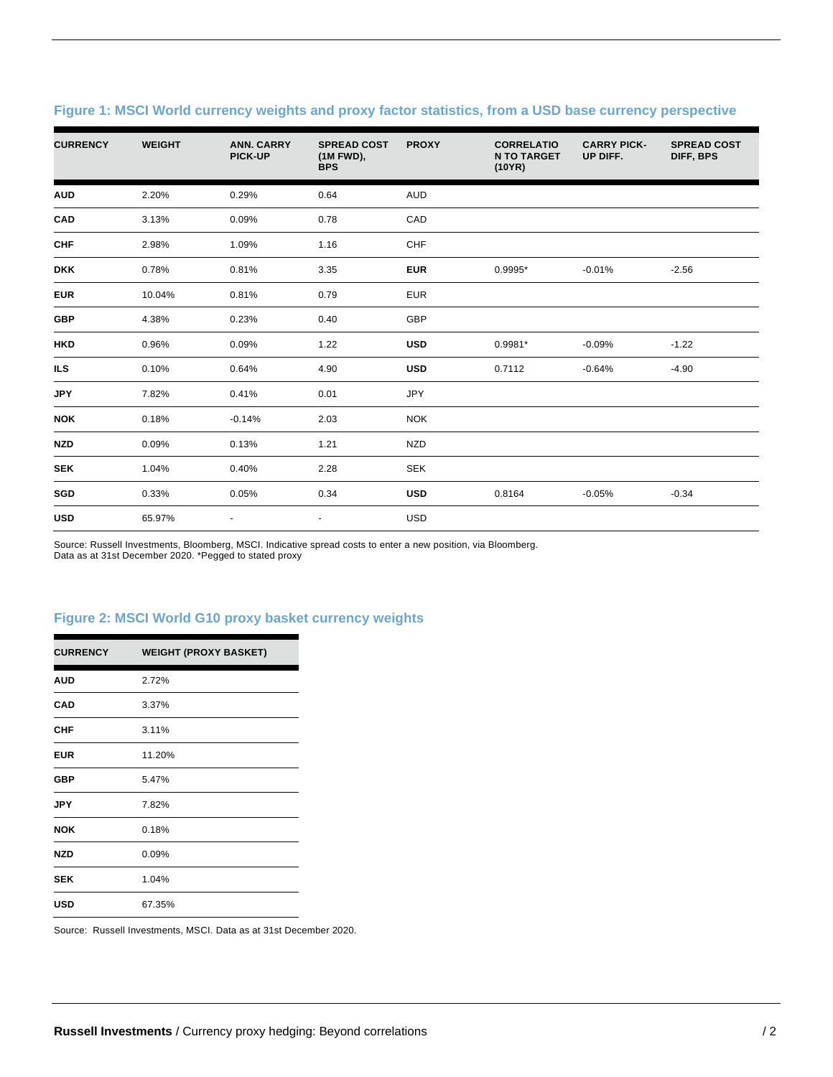| <b>CURRENCY</b> | <b>WEIGHT</b> | <b>ANN. CARRY</b><br>PICK-UP | <b>SPREAD COST</b><br>(1M FWD),<br><b>BPS</b> | <b>PROXY</b> | <b>CORRELATIO</b><br><b>N TO TARGET</b><br>(10YR) | <b>CARRY PICK-</b><br>UP DIFF. | <b>SPREAD COST</b><br>DIFF, BPS |
|-----------------|---------------|------------------------------|-----------------------------------------------|--------------|---------------------------------------------------|--------------------------------|---------------------------------|
| <b>AUD</b>      | 2.20%         | 0.29%                        | 0.64                                          | <b>AUD</b>   |                                                   |                                |                                 |
| CAD             | 3.13%         | 0.09%                        | 0.78                                          | CAD          |                                                   |                                |                                 |
| <b>CHF</b>      | 2.98%         | 1.09%                        | 1.16                                          | CHF          |                                                   |                                |                                 |
| <b>DKK</b>      | 0.78%         | 0.81%                        | 3.35                                          | <b>EUR</b>   | $0.9995*$                                         | $-0.01%$                       | $-2.56$                         |
| <b>EUR</b>      | 10.04%        | 0.81%                        | 0.79                                          | <b>EUR</b>   |                                                   |                                |                                 |
| <b>GBP</b>      | 4.38%         | 0.23%                        | 0.40                                          | GBP          |                                                   |                                |                                 |
| <b>HKD</b>      | 0.96%         | 0.09%                        | 1.22                                          | <b>USD</b>   | $0.9981*$                                         | $-0.09%$                       | $-1.22$                         |
| <b>ILS</b>      | 0.10%         | 0.64%                        | 4.90                                          | <b>USD</b>   | 0.7112                                            | $-0.64%$                       | $-4.90$                         |
| <b>JPY</b>      | 7.82%         | 0.41%                        | 0.01                                          | <b>JPY</b>   |                                                   |                                |                                 |
| <b>NOK</b>      | 0.18%         | $-0.14%$                     | 2.03                                          | <b>NOK</b>   |                                                   |                                |                                 |
| <b>NZD</b>      | 0.09%         | 0.13%                        | 1.21                                          | <b>NZD</b>   |                                                   |                                |                                 |
| <b>SEK</b>      | 1.04%         | 0.40%                        | 2.28                                          | <b>SEK</b>   |                                                   |                                |                                 |
| SGD             | 0.33%         | 0.05%                        | 0.34                                          | <b>USD</b>   | 0.8164                                            | $-0.05%$                       | $-0.34$                         |
| <b>USD</b>      | 65.97%        | $\blacksquare$               | $\blacksquare$                                | <b>USD</b>   |                                                   |                                |                                 |

#### **Figure 1: MSCI World currency weights and proxy factor statistics, from a USD base currency perspective**

Source: Russell Investments, Bloomberg, MSCI. Indicative spread costs to enter a new position, via Bloomberg. Data as at 31st December 2020. \*Pegged to stated proxy

#### **Figure 2: MSCI World G10 proxy basket currency weights**

| <b>CURRENCY</b> | <b>WEIGHT (PROXY BASKET)</b> |
|-----------------|------------------------------|
| <b>AUD</b>      | 2.72%                        |
| <b>CAD</b>      | 3.37%                        |
| <b>CHF</b>      | 3.11%                        |
| <b>EUR</b>      | 11.20%                       |
| <b>GBP</b>      | 5.47%                        |
| <b>JPY</b>      | 7.82%                        |
| <b>NOK</b>      | 0.18%                        |
| NZD             | 0.09%                        |
| <b>SEK</b>      | 1.04%                        |
| USD             | 67.35%                       |

Source: Russell Investments, MSCI. Data as at 31st December 2020.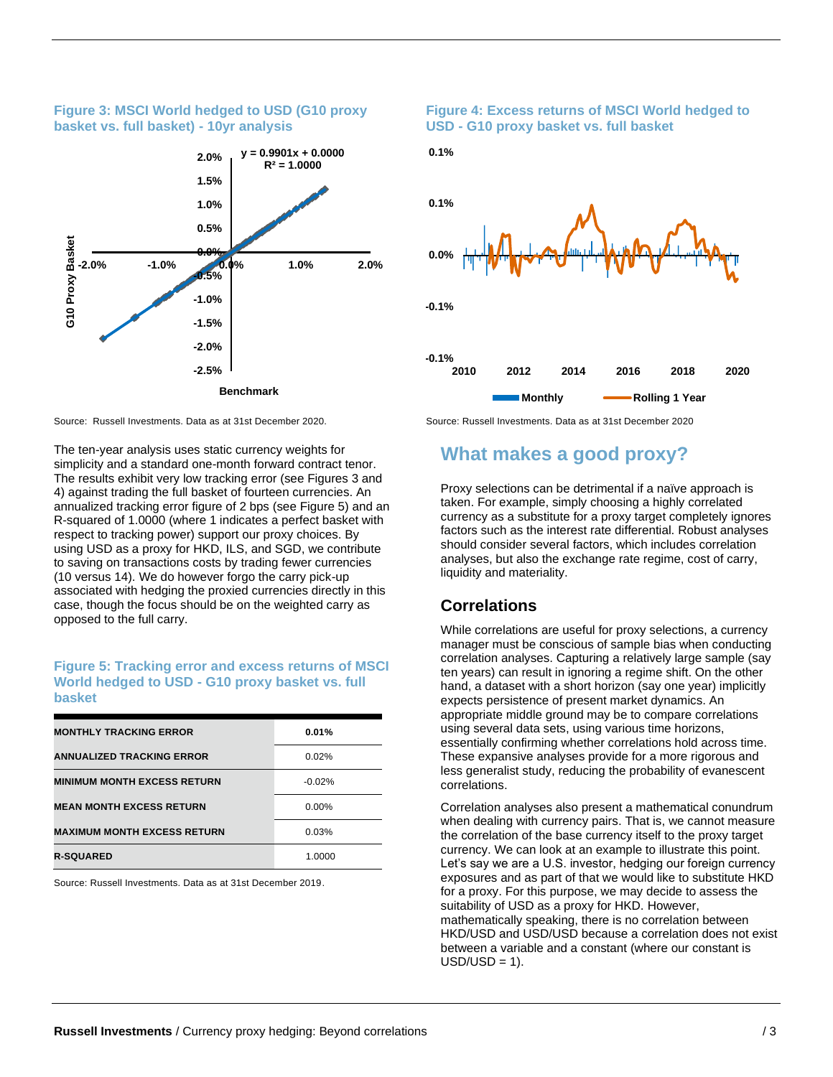#### **Figure 3: MSCI World hedged to USD (G10 proxy basket vs. full basket) - 10yr analysis**



The ten-year analysis uses static currency weights for simplicity and a standard one-month forward contract tenor. The results exhibit very low tracking error (see Figures 3 and 4) against trading the full basket of fourteen currencies. An annualized tracking error figure of 2 bps (see Figure 5) and an R-squared of 1.0000 (where 1 indicates a perfect basket with respect to tracking power) support our proxy choices. By using USD as a proxy for HKD, ILS, and SGD, we contribute to saving on transactions costs by trading fewer currencies (10 versus 14). We do however forgo the carry pick-up associated with hedging the proxied currencies directly in this case, though the focus should be on the weighted carry as opposed to the full carry.

#### **Figure 5: Tracking error and excess returns of MSCI World hedged to USD - G10 proxy basket vs. full basket**

| <b>MONTHLY TRACKING ERROR</b>      | 0.01%    |
|------------------------------------|----------|
| <b>ANNUALIZED TRACKING ERROR</b>   | 0.02%    |
| <b>MINIMUM MONTH EXCESS RETURN</b> | $-0.02%$ |
| <b>MEAN MONTH EXCESS RETURN</b>    | $0.00\%$ |
| <b>MAXIMUM MONTH EXCESS RETURN</b> | 0.03%    |
| <b>R-SQUARED</b>                   | 1.0000   |

Source: Russell Investments. Data as at 31st December 2019.

#### **Figure 4: Excess returns of MSCI World hedged to USD - G10 proxy basket vs. full basket**



Source: Russell Investments. Data as at 31st December 2020. Source: Russell Investments. Data as at 31st December 2020

## **What makes a good proxy?**

Proxy selections can be detrimental if a naïve approach is taken. For example, simply choosing a highly correlated currency as a substitute for a proxy target completely ignores factors such as the interest rate differential. Robust analyses should consider several factors, which includes correlation analyses, but also the exchange rate regime, cost of carry, liquidity and materiality.

### **Correlations**

While correlations are useful for proxy selections, a currency manager must be conscious of sample bias when conducting correlation analyses. Capturing a relatively large sample (say ten years) can result in ignoring a regime shift. On the other hand, a dataset with a short horizon (say one year) implicitly expects persistence of present market dynamics. An appropriate middle ground may be to compare correlations using several data sets, using various time horizons, essentially confirming whether correlations hold across time. These expansive analyses provide for a more rigorous and less generalist study, reducing the probability of evanescent correlations.

Correlation analyses also present a mathematical conundrum when dealing with currency pairs. That is, we cannot measure the correlation of the base currency itself to the proxy target currency. We can look at an example to illustrate this point. Let's say we are a U.S. investor, hedging our foreign currency exposures and as part of that we would like to substitute HKD for a proxy. For this purpose, we may decide to assess the suitability of USD as a proxy for HKD. However, mathematically speaking, there is no correlation between HKD/USD and USD/USD because a correlation does not exist between a variable and a constant (where our constant is  $USD/USD = 1$ ).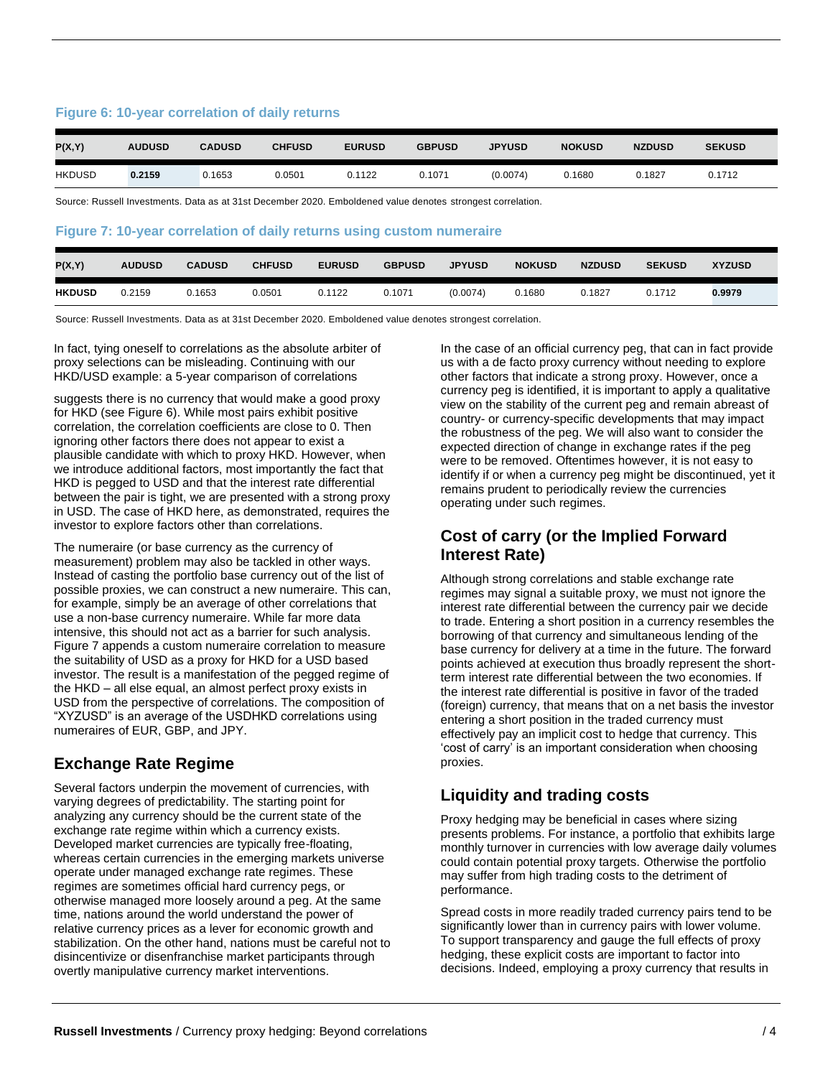#### **Figure 6: 10-year correlation of daily returns**

| P(X,Y)        | <b>AUDUSD</b> | <b>CADUSD</b> | <b>CHFUSD</b> | <b>EURUSD</b> | <b>GBPUSD</b> | <b>JPYUSD</b> | <b>NOKUSD</b> | <b>NZDUSD</b> | <b>SEKUSD</b> |
|---------------|---------------|---------------|---------------|---------------|---------------|---------------|---------------|---------------|---------------|
| <b>HKDUSD</b> | 0.2159        | 0.1653        | 0.0501        | 0.1122        | 0.1071        | (0.0074)      | 0.1680        | 0.1827        | 0.1712        |

Source: Russell Investments. Data as at 31st December 2020. Emboldened value denotes strongest correlation.

#### **Figure 7: 10-year correlation of daily returns using custom numeraire**

| P(X,Y)        | <b>AUDUSD</b> | <b>CADUSD</b> | <b>CHFUSD</b> | <b>EURUSD</b> | <b>GBPUSD</b> | <b>JPYUSD</b> | <b>NOKUSD</b> | <b>NZDUSD</b> | <b>SEKUSD</b> | <b>XYZUSD</b> |
|---------------|---------------|---------------|---------------|---------------|---------------|---------------|---------------|---------------|---------------|---------------|
| <b>HKDUSD</b> | 0.2159        | 0.1653        | 0.0501        | 0.1122        | 0.1071        | (0.0074)      | J.1680        | 0.1827        | 0.1712        | 0.9979        |

Source: Russell Investments. Data as at 31st December 2020. Emboldened value denotes strongest correlation.

In fact, tying oneself to correlations as the absolute arbiter of proxy selections can be misleading. Continuing with our HKD/USD example: a 5-year comparison of correlations

suggests there is no currency that would make a good proxy for HKD (see Figure 6). While most pairs exhibit positive correlation, the correlation coefficients are close to 0. Then ignoring other factors there does not appear to exist a plausible candidate with which to proxy HKD. However, when we introduce additional factors, most importantly the fact that HKD is pegged to USD and that the interest rate differential between the pair is tight, we are presented with a strong proxy in USD. The case of HKD here, as demonstrated, requires the investor to explore factors other than correlations.

The numeraire (or base currency as the currency of measurement) problem may also be tackled in other ways. Instead of casting the portfolio base currency out of the list of possible proxies, we can construct a new numeraire. This can, for example, simply be an average of other correlations that use a non-base currency numeraire. While far more data intensive, this should not act as a barrier for such analysis. Figure 7 appends a custom numeraire correlation to measure the suitability of USD as a proxy for HKD for a USD based investor. The result is a manifestation of the pegged regime of the HKD – all else equal, an almost perfect proxy exists in USD from the perspective of correlations. The composition of "XYZUSD" is an average of the USDHKD correlations using numeraires of EUR, GBP, and JPY.

## **Exchange Rate Regime**

Several factors underpin the movement of currencies, with varying degrees of predictability. The starting point for analyzing any currency should be the current state of the exchange rate regime within which a currency exists. Developed market currencies are typically free-floating, whereas certain currencies in the emerging markets universe operate under managed exchange rate regimes. These regimes are sometimes official hard currency pegs, or otherwise managed more loosely around a peg. At the same time, nations around the world understand the power of relative currency prices as a lever for economic growth and stabilization. On the other hand, nations must be careful not to disincentivize or disenfranchise market participants through overtly manipulative currency market interventions.

In the case of an official currency peg, that can in fact provide us with a de facto proxy currency without needing to explore other factors that indicate a strong proxy. However, once a currency peg is identified, it is important to apply a qualitative view on the stability of the current peg and remain abreast of country- or currency-specific developments that may impact the robustness of the peg. We will also want to consider the expected direction of change in exchange rates if the peg were to be removed. Oftentimes however, it is not easy to identify if or when a currency peg might be discontinued, yet it remains prudent to periodically review the currencies operating under such regimes.

## **Cost of carry (or the Implied Forward Interest Rate)**

Although strong correlations and stable exchange rate regimes may signal a suitable proxy, we must not ignore the interest rate differential between the currency pair we decide to trade. Entering a short position in a currency resembles the borrowing of that currency and simultaneous lending of the base currency for delivery at a time in the future. The forward points achieved at execution thus broadly represent the shortterm interest rate differential between the two economies. If the interest rate differential is positive in favor of the traded (foreign) currency, that means that on a net basis the investor entering a short position in the traded currency must effectively pay an implicit cost to hedge that currency. This 'cost of carry' is an important consideration when choosing proxies.

## **Liquidity and trading costs**

Proxy hedging may be beneficial in cases where sizing presents problems. For instance, a portfolio that exhibits large monthly turnover in currencies with low average daily volumes could contain potential proxy targets. Otherwise the portfolio may suffer from high trading costs to the detriment of performance.

Spread costs in more readily traded currency pairs tend to be significantly lower than in currency pairs with lower volume. To support transparency and gauge the full effects of proxy hedging, these explicit costs are important to factor into decisions. Indeed, employing a proxy currency that results in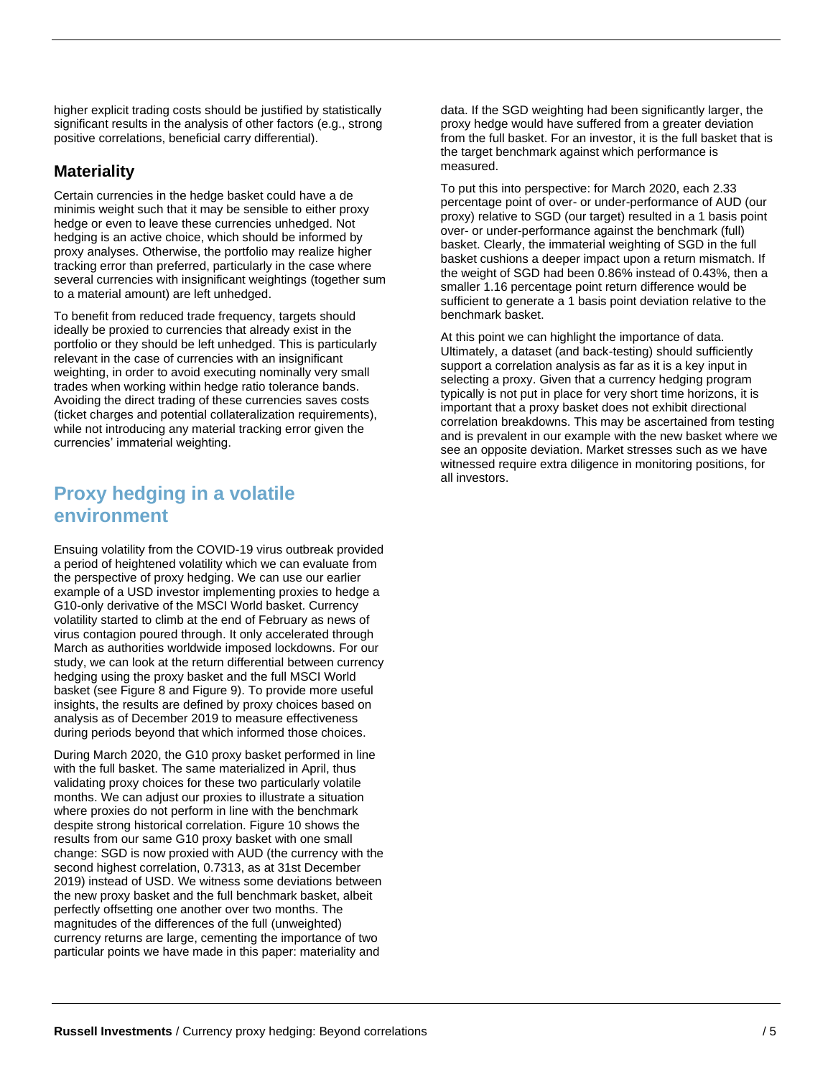**environment**

**Proxy hedging in a volatile** 

Ensuing volatility from the COVID-19 virus outbreak provided a period of heightened volatility which we can evaluate from the perspective of proxy hedging. We can use our earlier example of a USD investor implementing proxies to hedge a G10-only derivative of the MSCI World basket. Currency volatility started to climb at the end of February as news of virus contagion poured through. It only accelerated through March as authorities worldwide imposed lockdowns. For our study, we can look at the return differential between currency hedging using the proxy basket and the full MSCI World basket (see Figure 8 and Figure 9). To provide more useful insights, the results are defined by proxy choices based on analysis as of December 2019 to measure effectiveness during periods beyond that which informed those choices.

higher explicit trading costs should be justified by statistically significant results in the analysis of other factors (e.g., strong

positive correlations, beneficial carry differential).

to a material amount) are left unhedged.

currencies' immaterial weighting.

Certain currencies in the hedge basket could have a de minimis weight such that it may be sensible to either proxy hedge or even to leave these currencies unhedged. Not hedging is an active choice, which should be informed by proxy analyses. Otherwise, the portfolio may realize higher tracking error than preferred, particularly in the case where several currencies with insignificant weightings (together sum

To benefit from reduced trade frequency, targets should ideally be proxied to currencies that already exist in the portfolio or they should be left unhedged. This is particularly relevant in the case of currencies with an insignificant weighting, in order to avoid executing nominally very small trades when working within hedge ratio tolerance bands. Avoiding the direct trading of these currencies saves costs (ticket charges and potential collateralization requirements), while not introducing any material tracking error given the

**Materiality**

During March 2020, the G10 proxy basket performed in line with the full basket. The same materialized in April, thus validating proxy choices for these two particularly volatile months. We can adjust our proxies to illustrate a situation where proxies do not perform in line with the benchmark despite strong historical correlation. Figure 10 shows the results from our same G10 proxy basket with one small change: SGD is now proxied with AUD (the currency with the second highest correlation, 0.7313, as at 31st December 2019) instead of USD. We witness some deviations between the new proxy basket and the full benchmark basket, albeit perfectly offsetting one another over two months. The magnitudes of the differences of the full (unweighted) currency returns are large, cementing the importance of two particular points we have made in this paper: materiality and

data. If the SGD weighting had been significantly larger, the proxy hedge would have suffered from a greater deviation from the full basket. For an investor, it is the full basket that is the target benchmark against which performance is measured.

To put this into perspective: for March 2020, each 2.33 percentage point of over- or under-performance of AUD (our proxy) relative to SGD (our target) resulted in a 1 basis point over- or under-performance against the benchmark (full) basket. Clearly, the immaterial weighting of SGD in the full basket cushions a deeper impact upon a return mismatch. If the weight of SGD had been 0.86% instead of 0.43%, then a smaller 1.16 percentage point return difference would be sufficient to generate a 1 basis point deviation relative to the benchmark basket.

At this point we can highlight the importance of data. Ultimately, a dataset (and back-testing) should sufficiently support a correlation analysis as far as it is a key input in selecting a proxy. Given that a currency hedging program typically is not put in place for very short time horizons, it is important that a proxy basket does not exhibit directional correlation breakdowns. This may be ascertained from testing and is prevalent in our example with the new basket where we see an opposite deviation. Market stresses such as we have witnessed require extra diligence in monitoring positions, for all investors.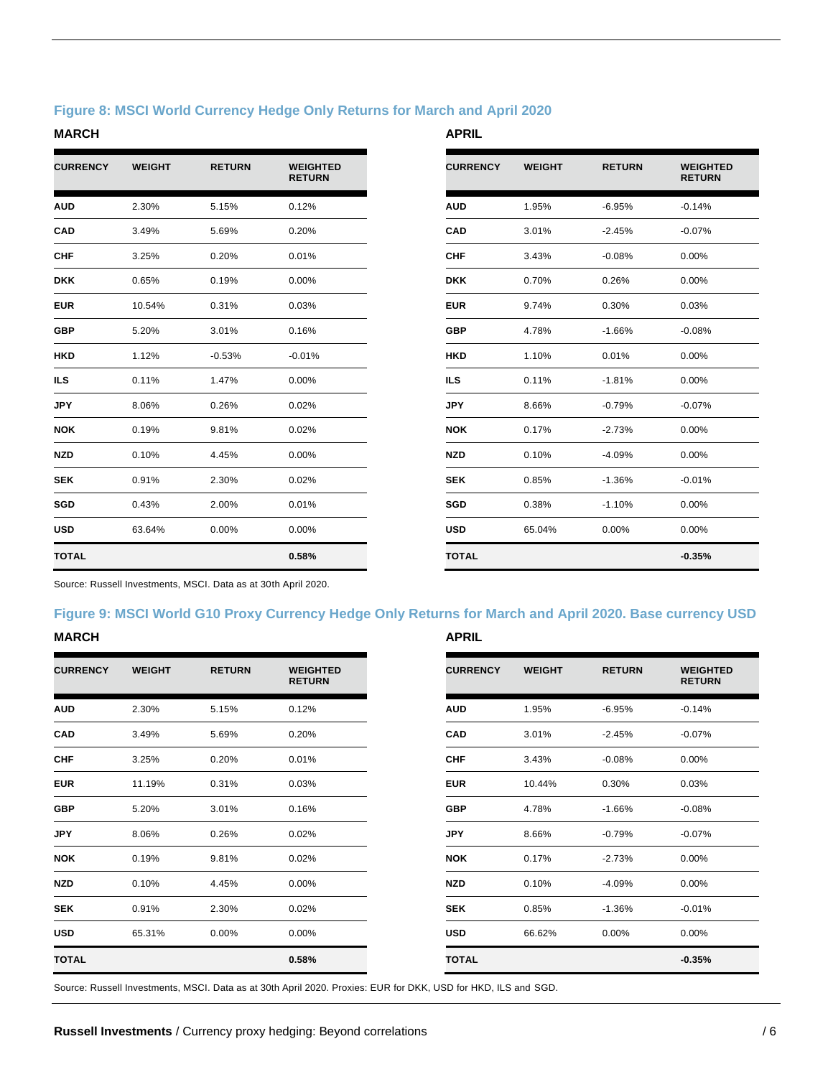#### **Figure 8: MSCI World Currency Hedge Only Returns for March and April 2020**

#### **MARCH APRIL**

| <b>CURRENCY</b> | <b>WEIGHT</b> | <b>RETURN</b> | <b>WEIGHTED</b><br><b>RETURN</b> |
|-----------------|---------------|---------------|----------------------------------|
| <b>AUD</b>      | 2.30%         | 5.15%         | 0.12%                            |
| <b>CAD</b>      | 3.49%         | 5.69%         | 0.20%                            |
| <b>CHF</b>      | 3.25%         | 0.20%         | 0.01%                            |
| <b>DKK</b>      | 0.65%         | 0.19%         | 0.00%                            |
| <b>EUR</b>      | 10.54%        | 0.31%         | 0.03%                            |
| <b>GBP</b>      | 5.20%         | 3.01%         | 0.16%                            |
| <b>HKD</b>      | 1.12%         | $-0.53%$      | $-0.01%$                         |
| ILS.            | 0.11%         | 1.47%         | 0.00%                            |
| <b>JPY</b>      | 8.06%         | 0.26%         | 0.02%                            |
| <b>NOK</b>      | 0.19%         | 9.81%         | 0.02%                            |
| <b>NZD</b>      | 0.10%         | 4.45%         | 0.00%                            |
| <b>SEK</b>      | 0.91%         | 2.30%         | 0.02%                            |
| SGD             | 0.43%         | 2.00%         | 0.01%                            |
| <b>USD</b>      | 63.64%        | 0.00%         | 0.00%                            |
| <b>TOTAL</b>    |               |               | 0.58%                            |

| <b>CURRENCY</b> | <b>WEIGHT</b> | <b>RETURN</b> | <b>WEIGHTED</b><br><b>RETURN</b> |
|-----------------|---------------|---------------|----------------------------------|
| <b>AUD</b>      | 1.95%         | $-6.95%$      | $-0.14%$                         |
| <b>CAD</b>      | 3.01%         | $-2.45%$      | $-0.07%$                         |
| <b>CHF</b>      | 3.43%         | $-0.08%$      | 0.00%                            |
| <b>DKK</b>      | 0.70%         | 0.26%         | 0.00%                            |
| <b>EUR</b>      | 9.74%         | 0.30%         | 0.03%                            |
| GBP             | 4.78%         | $-1.66%$      | $-0.08%$                         |
| HKD             | 1.10%         | 0.01%         | 0.00%                            |
| <b>ILS</b>      | 0.11%         | $-1.81%$      | $0.00\%$                         |
| <b>JPY</b>      | 8.66%         | $-0.79%$      | $-0.07%$                         |
| <b>NOK</b>      | 0.17%         | $-2.73%$      | 0.00%                            |
| <b>NZD</b>      | 0.10%         | $-4.09%$      | 0.00%                            |
| <b>SEK</b>      | 0.85%         | $-1.36%$      | $-0.01%$                         |
| SGD             | 0.38%         | $-1.10%$      | 0.00%                            |
| <b>USD</b>      | 65.04%        | 0.00%         | $0.00\%$                         |
| <b>TOTAL</b>    |               |               | $-0.35%$                         |

Source: Russell Investments, MSCI. Data as at 30th April 2020.

## **Figure 9: MSCI World G10 Proxy Currency Hedge Only Returns for March and April 2020. Base currency USD**

#### **MARCH**

| <b>CURRENCY</b> | <b>WEIGHT</b> | <b>RETURN</b> | <b>WEIGHTED</b><br><b>RETURN</b> |
|-----------------|---------------|---------------|----------------------------------|
| <b>AUD</b>      | 2.30%         | 5.15%         | 0.12%                            |
| <b>CAD</b>      | 3.49%         | 5.69%         | 0.20%                            |
| <b>CHF</b>      | 3.25%         | 0.20%         | 0.01%                            |
| <b>EUR</b>      | 11.19%        | 0.31%         | 0.03%                            |
| <b>GBP</b>      | 5.20%         | 3.01%         | 0.16%                            |
| <b>JPY</b>      | 8.06%         | 0.26%         | 0.02%                            |
| <b>NOK</b>      | 0.19%         | 9.81%         | 0.02%                            |
| <b>NZD</b>      | 0.10%         | 4.45%         | 0.00%                            |
| <b>SEK</b>      | 0.91%         | 2.30%         | 0.02%                            |
| <b>USD</b>      | 65.31%        | 0.00%         | 0.00%                            |
| <b>TOTAL</b>    |               |               | 0.58%                            |

| <b>CURRENCY</b> | <b>WEIGHT</b> | <b>RETURN</b> | <b>WEIGHTED</b><br><b>RETURN</b> |
|-----------------|---------------|---------------|----------------------------------|
| <b>AUD</b>      | 1.95%         | $-6.95%$      | $-0.14%$                         |
| <b>CAD</b>      | 3.01%         | $-2.45%$      | $-0.07%$                         |
| CHF             | 3.43%         | $-0.08%$      | 0.00%                            |
| <b>EUR</b>      | 10.44%        | 0.30%         | 0.03%                            |
| <b>GBP</b>      | 4.78%         | $-1.66%$      | $-0.08%$                         |
| <b>JPY</b>      | 8.66%         | $-0.79%$      | $-0.07%$                         |
| <b>NOK</b>      | 0.17%         | $-2.73%$      | 0.00%                            |
| <b>NZD</b>      | 0.10%         | $-4.09%$      | 0.00%                            |
| <b>SEK</b>      | 0.85%         | $-1.36%$      | $-0.01%$                         |
| <b>USD</b>      | 66.62%        | $0.00\%$      | $0.00\%$                         |
| <b>TOTAL</b>    |               |               | $-0.35%$                         |

Source: Russell Investments, MSCI. Data as at 30th April 2020. Proxies: EUR for DKK, USD for HKD, ILS and SGD.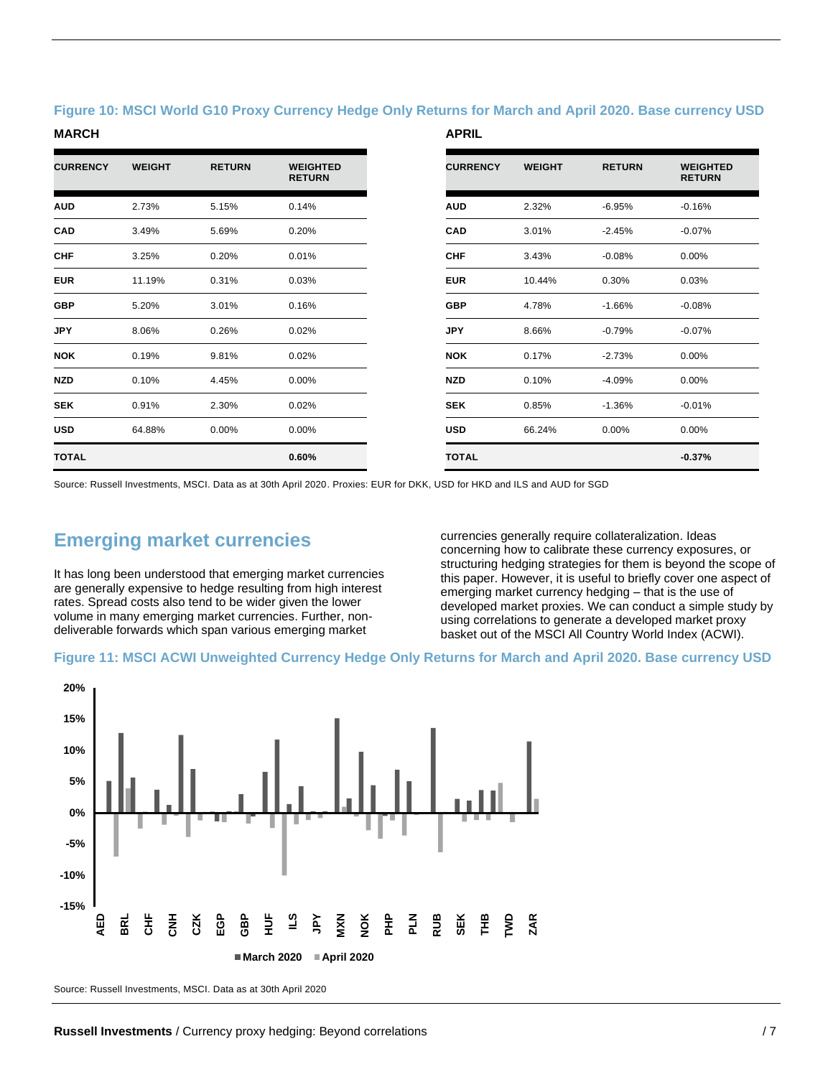#### **Figure 10: MSCI World G10 Proxy Currency Hedge Only Returns for March and April 2020. Base currency USD**

#### **MARCH APRIL**

| <b>CURRENCY</b> | <b>WEIGHT</b> | <b>RETURN</b> | <b>WEIGHTED</b><br><b>RETURN</b> |
|-----------------|---------------|---------------|----------------------------------|
| <b>AUD</b>      | 2.73%         | 5.15%         | 0.14%                            |
| <b>CAD</b>      | 3.49%         | 5.69%         | 0.20%                            |
| <b>CHF</b>      | 3.25%         | 0.20%         | 0.01%                            |
| <b>EUR</b>      | 11.19%        | 0.31%         | 0.03%                            |
| <b>GBP</b>      | 5.20%         | 3.01%         | 0.16%                            |
| <b>JPY</b>      | 8.06%         | 0.26%         | 0.02%                            |
| <b>NOK</b>      | 0.19%         | 9.81%         | 0.02%                            |
| <b>NZD</b>      | 0.10%         | 4.45%         | 0.00%                            |
| <b>SEK</b>      | 0.91%         | 2.30%         | 0.02%                            |
| <b>USD</b>      | 64.88%        | 0.00%         | 0.00%                            |
| <b>TOTAL</b>    |               |               | 0.60%                            |

| <b>CURRENCY</b> | <b>WEIGHT</b> | <b>RETURN</b> | <b>WEIGHTED</b><br><b>RETURN</b> |
|-----------------|---------------|---------------|----------------------------------|
| <b>AUD</b>      | 2.32%         | $-6.95%$      | $-0.16%$                         |
| <b>CAD</b>      | 3.01%         | $-2.45%$      | $-0.07%$                         |
| CHF             | 3.43%         | $-0.08%$      | $0.00\%$                         |
| <b>EUR</b>      | 10.44%        | 0.30%         | 0.03%                            |
| <b>GBP</b>      | 4.78%         | $-1.66%$      | $-0.08%$                         |
| <b>JPY</b>      | 8.66%         | $-0.79%$      | $-0.07%$                         |
| <b>NOK</b>      | 0.17%         | $-2.73%$      | $0.00\%$                         |
| <b>NZD</b>      | 0.10%         | $-4.09%$      | $0.00\%$                         |
| <b>SEK</b>      | 0.85%         | $-1.36%$      | $-0.01%$                         |
| USD             | 66.24%        | $0.00\%$      | $0.00\%$                         |
| <b>TOTAL</b>    |               |               | $-0.37%$                         |

Source: Russell Investments, MSCI. Data as at 30th April 2020. Proxies: EUR for DKK, USD for HKD and ILS and AUD for SGD

# **Emerging market currencies**

It has long been understood that emerging market currencies are generally expensive to hedge resulting from high interest rates. Spread costs also tend to be wider given the lower volume in many emerging market currencies. Further, nondeliverable forwards which span various emerging market

currencies generally require collateralization. Ideas concerning how to calibrate these currency exposures, or structuring hedging strategies for them is beyond the scope of this paper. However, it is useful to briefly cover one aspect of emerging market currency hedging – that is the use of developed market proxies. We can conduct a simple study by using correlations to generate a developed market proxy basket out of the MSCI All Country World Index (ACWI).

#### **Figure 11: MSCI ACWI Unweighted Currency Hedge Only Returns for March and April 2020. Base currency USD**



Source: Russell Investments, MSCI. Data as at 30th April 2020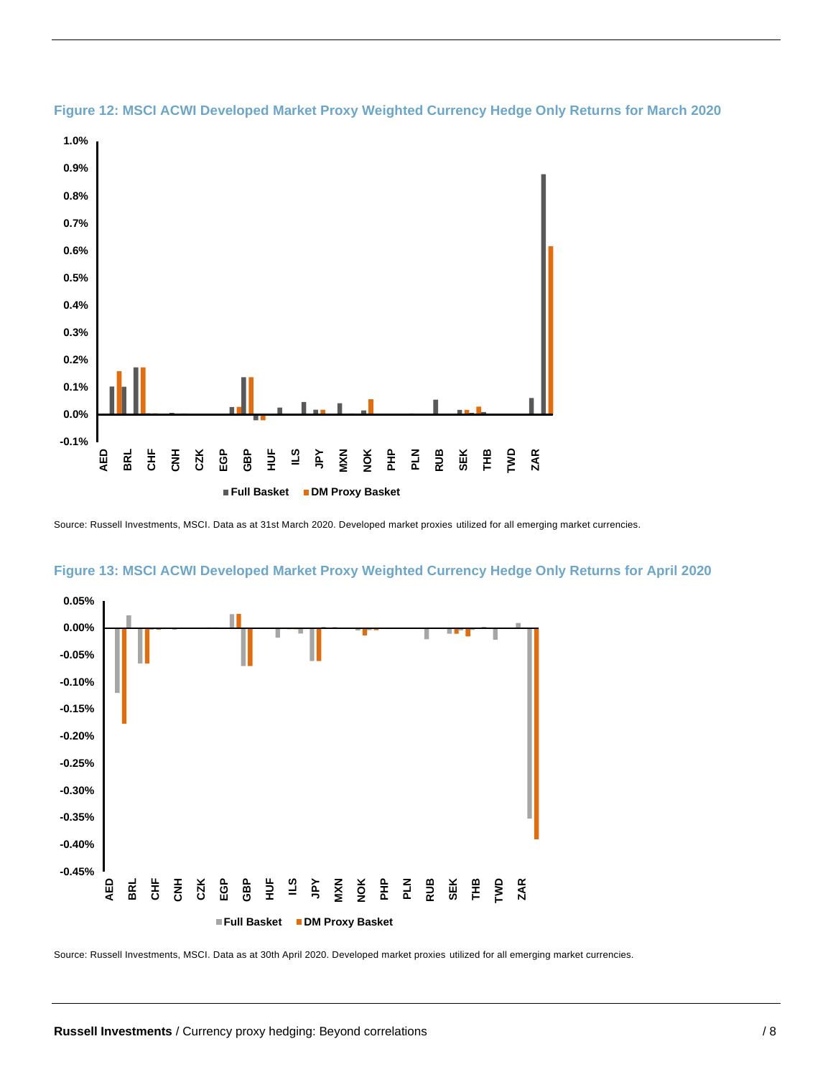



Source: Russell Investments, MSCI. Data as at 31st March 2020. Developed market proxies utilized for all emerging market currencies.





Source: Russell Investments, MSCI. Data as at 30th April 2020. Developed market proxies utilized for all emerging market currencies.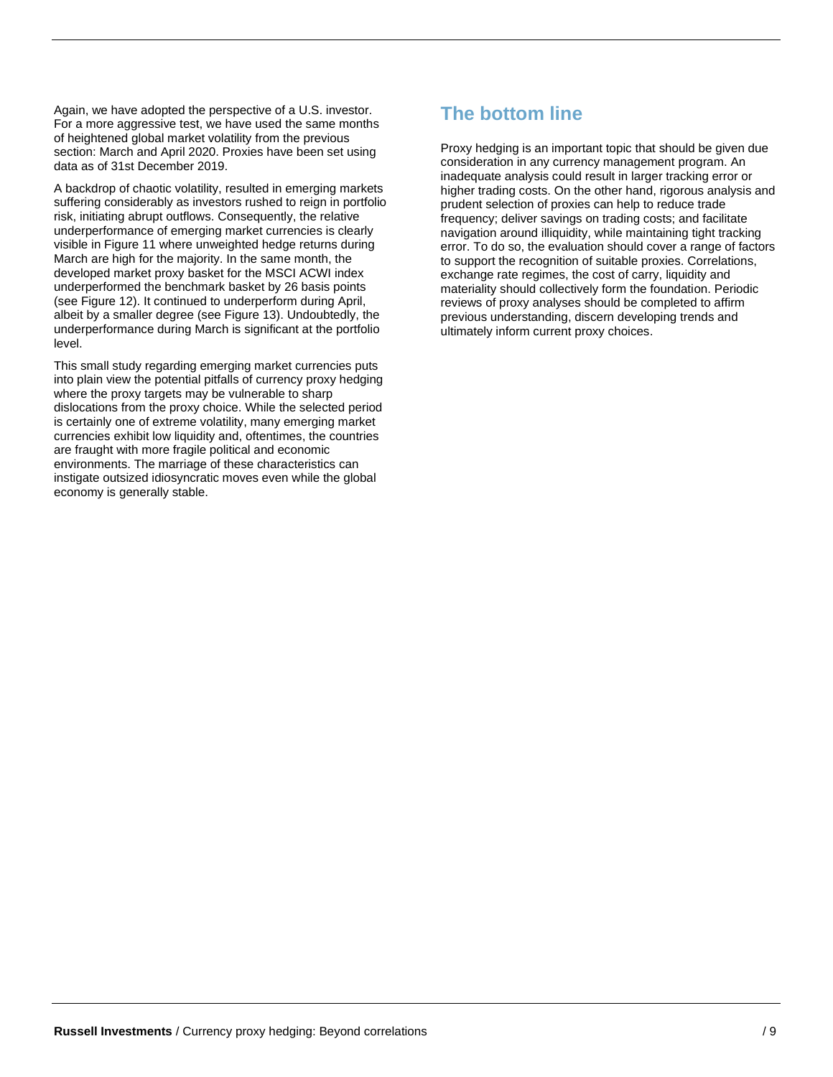Again, we have adopted the perspective of a U.S. investor. For a more aggressive test, we have used the same months of heightened global market volatility from the previous section: March and April 2020. Proxies have been set using data as of 31st December 2019.

A backdrop of chaotic volatility, resulted in emerging markets suffering considerably as investors rushed to reign in portfolio risk, initiating abrupt outflows. Consequently, the relative underperformance of emerging market currencies is clearly visible in Figure 11 where unweighted hedge returns during March are high for the majority. In the same month, the developed market proxy basket for the MSCI ACWI index underperformed the benchmark basket by 26 basis points (see Figure 12). It continued to underperform during April, albeit by a smaller degree (see Figure 13). Undoubtedly, the underperformance during March is significant at the portfolio level.

This small study regarding emerging market currencies puts into plain view the potential pitfalls of currency proxy hedging where the proxy targets may be vulnerable to sharp dislocations from the proxy choice. While the selected period is certainly one of extreme volatility, many emerging market currencies exhibit low liquidity and, oftentimes, the countries are fraught with more fragile political and economic environments. The marriage of these characteristics can instigate outsized idiosyncratic moves even while the global economy is generally stable.

# **The bottom line**

Proxy hedging is an important topic that should be given due consideration in any currency management program. An inadequate analysis could result in larger tracking error or higher trading costs. On the other hand, rigorous analysis and prudent selection of proxies can help to reduce trade frequency; deliver savings on trading costs; and facilitate navigation around illiquidity, while maintaining tight tracking error. To do so, the evaluation should cover a range of factors to support the recognition of suitable proxies. Correlations, exchange rate regimes, the cost of carry, liquidity and materiality should collectively form the foundation. Periodic reviews of proxy analyses should be completed to affirm previous understanding, discern developing trends and ultimately inform current proxy choices.